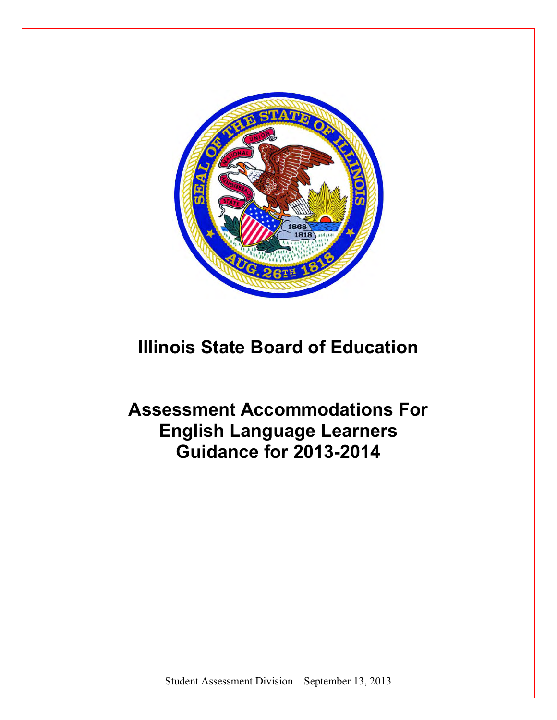

# **Illinois State Board of Education**

**Assessment Accommodations For English Language Learners Guidance for 2013-2014** 

Student Assessment Division – September 13, 2013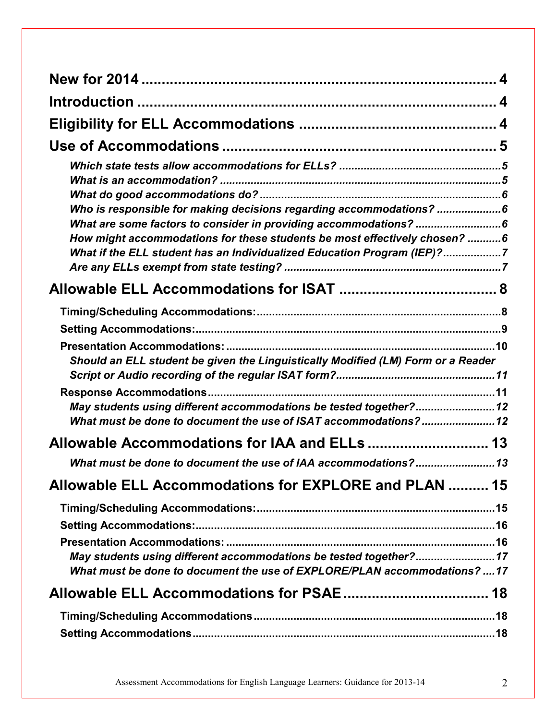| Who is responsible for making decisions regarding accommodations? 6                                                                           |  |
|-----------------------------------------------------------------------------------------------------------------------------------------------|--|
|                                                                                                                                               |  |
| How might accommodations for these students be most effectively chosen? 6                                                                     |  |
| What if the ELL student has an Individualized Education Program (IEP)?7                                                                       |  |
|                                                                                                                                               |  |
|                                                                                                                                               |  |
|                                                                                                                                               |  |
| Should an ELL student be given the Linguistically Modified (LM) Form or a Reader                                                              |  |
|                                                                                                                                               |  |
|                                                                                                                                               |  |
| May students using different accommodations be tested together?12<br>What must be done to document the use of ISAT accommodations?12          |  |
|                                                                                                                                               |  |
| What must be done to document the use of IAA accommodations?13                                                                                |  |
| Allowable ELL Accommodations for EXPLORE and PLAN  15                                                                                         |  |
|                                                                                                                                               |  |
|                                                                                                                                               |  |
|                                                                                                                                               |  |
| May students using different accommodations be tested together?17<br>What must be done to document the use of EXPLORE/PLAN accommodations? 17 |  |
|                                                                                                                                               |  |
|                                                                                                                                               |  |
|                                                                                                                                               |  |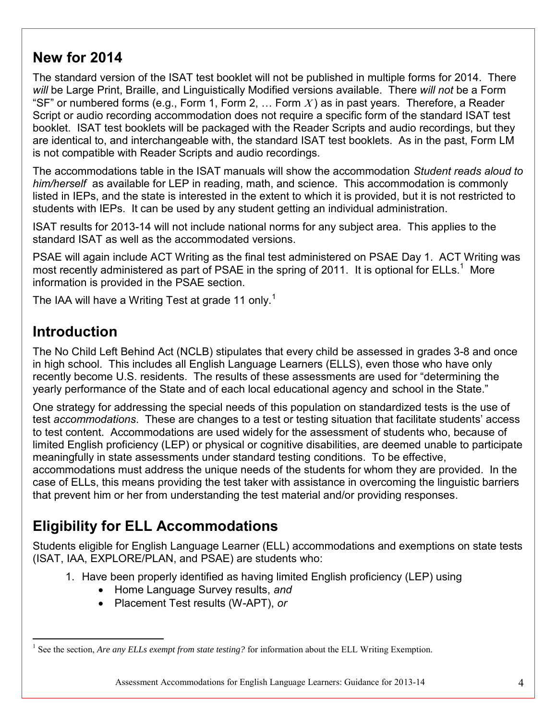# <span id="page-3-0"></span>**New for 2014**

The standard version of the ISAT test booklet will not be published in multiple forms for 2014. There *will* be Large Print, Braille, and Linguistically Modified versions available. There *will not* be a Form "SF" or numbered forms (e.g., Form 1, Form 2, ... Form X) as in past years. Therefore, a Reader Script or audio recording accommodation does not require a specific form of the standard ISAT test booklet. ISAT test booklets will be packaged with the Reader Scripts and audio recordings, but they are identical to, and interchangeable with, the standard ISAT test booklets. As in the past, Form LM is not compatible with Reader Scripts and audio recordings.

The accommodations table in the ISAT manuals will show the accommodation *Student reads aloud to him/herself* as available for LEP in reading, math, and science. This accommodation is commonly listed in IEPs, and the state is interested in the extent to which it is provided, but it is not restricted to students with IEPs. It can be used by any student getting an individual administration.

ISAT results for 2013-14 will not include national norms for any subject area. This applies to the standard ISAT as well as the accommodated versions.

PSAE will again include ACT Writing as the final test administered on PSAE Day 1. ACT Writing was most recently administered as part of PSAE in the spring of 2011. It is optional for ELLs.<sup>1</sup> More information is provided in the PSAE section.

The IAA will have a Writing Test at grade 11 only.<sup>1</sup>

# <span id="page-3-1"></span>**Introduction**

The No Child Left Behind Act (NCLB) stipulates that every child be assessed in grades 3-8 and once in high school. This includes all English Language Learners (ELLS), even those who have only recently become U.S. residents. The results of these assessments are used for "determining the yearly performance of the State and of each local educational agency and school in the State."

One strategy for addressing the special needs of this population on standardized tests is the use of test *accommodations*. These are changes to a test or testing situation that facilitate students' access to test content. Accommodations are used widely for the assessment of students who, because of limited English proficiency (LEP) or physical or cognitive disabilities, are deemed unable to participate meaningfully in state assessments under standard testing conditions. To be effective, accommodations must address the unique needs of the students for whom they are provided. In the case of ELLs, this means providing the test taker with assistance in overcoming the linguistic barriers that prevent him or her from understanding the test material and/or providing responses.

# <span id="page-3-2"></span>**Eligibility for ELL Accommodations**

Students eligible for English Language Learner (ELL) accommodations and exemptions on state tests (ISAT, IAA, EXPLORE/PLAN, and PSAE) are students who:

- 1. Have been properly identified as having limited English proficiency (LEP) using
	- Home Language Survey results, *and*
	- Placement Test results (W-APT), *or*

 $\overline{a}$ <sup>1</sup> See the section, *Are any ELLs exempt from state testing?* for information about the ELL Writing Exemption.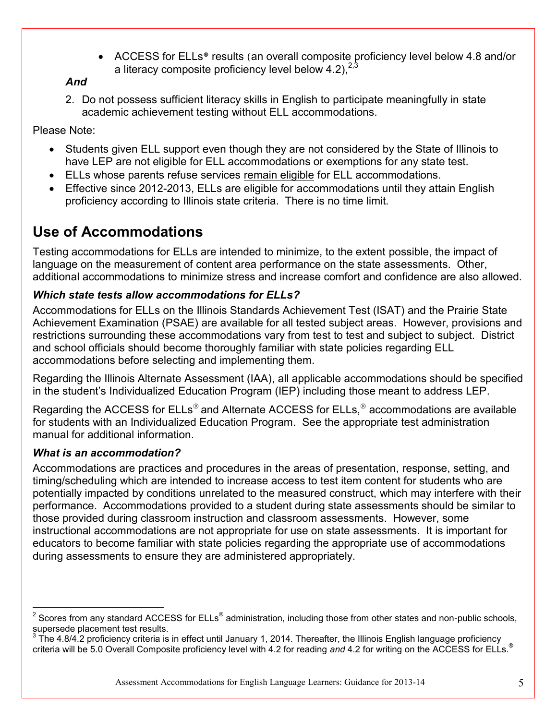• ACCESS for ELLs<sup>®</sup> results (an overall composite proficiency level below 4.8 and/or a literacy composite proficiency level below 4.2),  $2^{2,3}$ 

#### *And*

2. Do not possess sufficient literacy skills in English to participate meaningfully in state academic achievement testing without ELL accommodations.

Please Note:

- Students given ELL support even though they are not considered by the State of Illinois to have LEP are not eligible for ELL accommodations or exemptions for any state test.
- **ELLs whose parents refuse services remain eligible for ELL accommodations.**
- Effective since 2012-2013, ELLs are eligible for accommodations until they attain English proficiency according to Illinois state criteria. There is no time limit.

# <span id="page-4-2"></span>**Use of Accommodations**

Testing accommodations for ELLs are intended to minimize, to the extent possible, the impact of language on the measurement of content area performance on the state assessments. Other, additional accommodations to minimize stress and increase comfort and confidence are also allowed.

# <span id="page-4-0"></span>*Which state tests allow accommodations for ELLs?*

Accommodations for ELLs on the Illinois Standards Achievement Test (ISAT) and the Prairie State Achievement Examination (PSAE) are available for all tested subject areas. However, provisions and restrictions surrounding these accommodations vary from test to test and subject to subject. District and school officials should become thoroughly familiar with state policies regarding ELL accommodations before selecting and implementing them.

Regarding the Illinois Alternate Assessment (IAA), all applicable accommodations should be specified in the student's Individualized Education Program (IEP) including those meant to address LEP.

Regarding the ACCESS for ELLs® and Alternate ACCESS for ELLs,<sup>®</sup> accommodations are available for students with an Individualized Education Program. See the appropriate test administration manual for additional information.

# <span id="page-4-1"></span>*What is an accommodation?*

Accommodations are practices and procedures in the areas of presentation, response, setting, and timing/scheduling which are intended to increase access to test item content for students who are potentially impacted by conditions unrelated to the measured construct, which may interfere with their performance. Accommodations provided to a student during state assessments should be similar to those provided during classroom instruction and classroom assessments. However, some instructional accommodations are not appropriate for use on state assessments. It is important for educators to become familiar with state policies regarding the appropriate use of accommodations during assessments to ensure they are administered appropriately.

 2 Scores from any standard ACCESS for ELLs® administration, including those from other states and non-public schools, supersede placement test results.<br><sup>3</sup> The 4.8/4.2 preficiency eritoria in

The 4.8/4.2 proficiency criteria is in effect until January 1, 2014. Thereafter, the Illinois English language proficiency criteria will be 5.0 Overall Composite proficiency level with 4.2 for reading *and* 4.2 for writing on the ACCESS for ELLs.®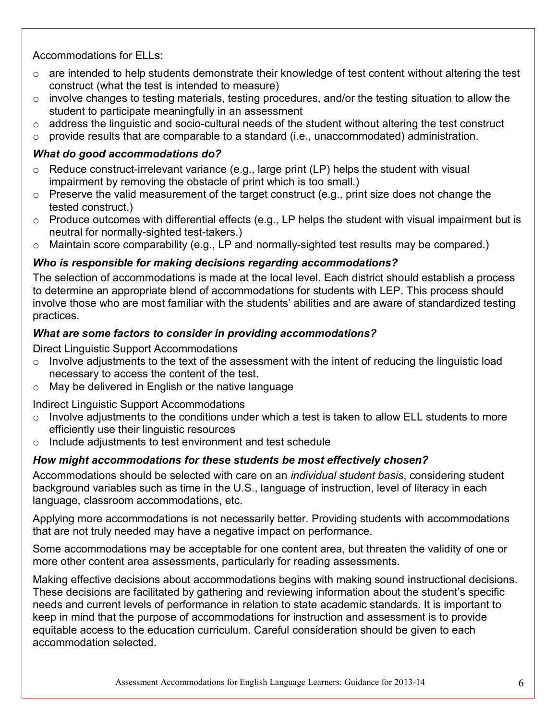Accommodations for ELLs:

- $\circ$  are intended to help students demonstrate their knowledge of test content without altering the test construct (what the test is intended to measure)
- $\circ$  involve changes to testing materials, testing procedures, and/or the testing situation to allow the student to participate meaningfully in an assessment
- $\circ$  address the linguistic and socio-cultural needs of the student without altering the test construct
- o provide results that are comparable to a standard (i.e., unaccommodated) administration.

### <span id="page-5-0"></span>*What do good accommodations do?*

- Reduce construct-irrelevant variance (e.g., large print (LP) helps the student with visual impairment by removing the obstacle of print which is too small.)
- $\circ$  Preserve the valid measurement of the target construct (e.g., print size does not change the tested construct.)
- $\circ$  Produce outcomes with differential effects (e.g., LP helps the student with visual impairment but is neutral for normally-sighted test-takers.)
- o Maintain score comparability (e.g., LP and normally-sighted test results may be compared.)

### <span id="page-5-1"></span>*Who is responsible for making decisions regarding accommodations?*

The selection of accommodations is made at the local level. Each district should establish a process to determine an appropriate blend of accommodations for students with LEP. This process should involve those who are most familiar with the students' abilities and are aware of standardized testing practices.

### <span id="page-5-2"></span>*What are some factors to consider in providing accommodations?*

Direct Linguistic Support Accommodations

- $\circ$  Involve adjustments to the text of the assessment with the intent of reducing the linguistic load necessary to access the content of the test.
- o May be delivered in English or the native language

Indirect Linguistic Support Accommodations

- $\circ$  Involve adjustments to the conditions under which a test is taken to allow ELL students to more efficiently use their linguistic resources
- o Include adjustments to test environment and test schedule

# <span id="page-5-3"></span>*How might accommodations for these students be most effectively chosen?*

Accommodations should be selected with care on an *individual student basis*, considering student background variables such as time in the U.S., language of instruction, level of literacy in each language, classroom accommodations, etc.

Applying more accommodations is not necessarily better. Providing students with accommodations that are not truly needed may have a negative impact on performance.

Some accommodations may be acceptable for one content area, but threaten the validity of one or more other content area assessments, particularly for reading assessments.

Making effective decisions about accommodations begins with making sound instructional decisions. These decisions are facilitated by gathering and reviewing information about the student's specific needs and current levels of performance in relation to state academic standards. It is important to keep in mind that the purpose of accommodations for instruction and assessment is to provide equitable access to the education curriculum. Careful consideration should be given to each accommodation selected.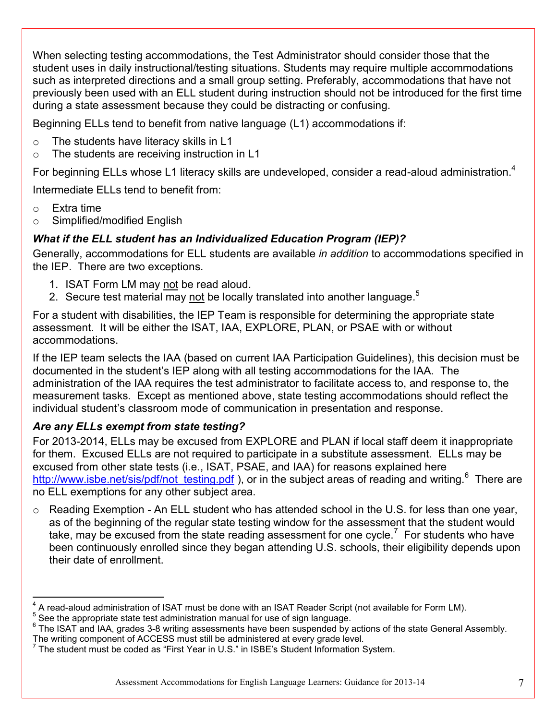When selecting testing accommodations, the Test Administrator should consider those that the student uses in daily instructional/testing situations. Students may require multiple accommodations such as interpreted directions and a small group setting. Preferably, accommodations that have not previously been used with an ELL student during instruction should not be introduced for the first time during a state assessment because they could be distracting or confusing.

Beginning ELLs tend to benefit from native language (L1) accommodations if:

- o The students have literacy skills in L1
- o The students are receiving instruction in L1

For beginning ELLs whose L1 literacy skills are undeveloped, consider a read-aloud administration.<sup>4</sup>

Intermediate FLLs tend to benefit from:

- o Extra time
- o Simplified/modified English

### <span id="page-6-0"></span>*What if the ELL student has an Individualized Education Program (IEP)?*

Generally, accommodations for ELL students are available *in addition* to accommodations specified in the IEP. There are two exceptions.

- 1. ISAT Form LM may not be read aloud.
- 2. Secure test material may not be locally translated into another language.<sup>5</sup>

For a student with disabilities, the IEP Team is responsible for determining the appropriate state assessment. It will be either the ISAT, IAA, EXPLORE, PLAN, or PSAE with or without accommodations.

If the IEP team selects the IAA (based on current IAA Participation Guidelines), this decision must be documented in the student's IEP along with all testing accommodations for the IAA. The administration of the IAA requires the test administrator to facilitate access to, and response to, the measurement tasks. Except as mentioned above, state testing accommodations should reflect the individual student's classroom mode of communication in presentation and response.

### <span id="page-6-1"></span>*Are any ELLs exempt from state testing?*

For 2013-2014, ELLs may be excused from EXPLORE and PLAN if local staff deem it inappropriate for them. Excused ELLs are not required to participate in a substitute assessment. ELLs may be excused from other state tests (i.e., ISAT, PSAE, and IAA) for reasons explained here [http://www.isbe.net/sis/pdf/not\\_testing.pdf](http://www.isbe.net/sis/pdf/not_testing.pdf) ), or in the subject areas of reading and writing.<sup>6</sup> There are no ELL exemptions for any other subject area.

o Reading Exemption - An ELL student who has attended school in the U.S. for less than one year, as of the beginning of the regular state testing window for the assessment that the student would take, may be excused from the state reading assessment for one cycle.<sup>7</sup> For students who have been continuously enrolled since they began attending U.S. schools, their eligibility depends upon their date of enrollment.

 4 A read-aloud administration of ISAT must be done with an ISAT Reader Script (not available for Form LM).

 $5$  See the appropriate state test administration manual for use of sign language.

<sup>&</sup>lt;sup>6</sup> The ISAT and IAA, grades 3-8 writing assessments have been suspended by actions of the state General Assembly.

The writing component of ACCESS must still be administered at every grade level.<br><sup>7</sup> The student must be coded as "First Year in U.S." in ISBE's Student Information System.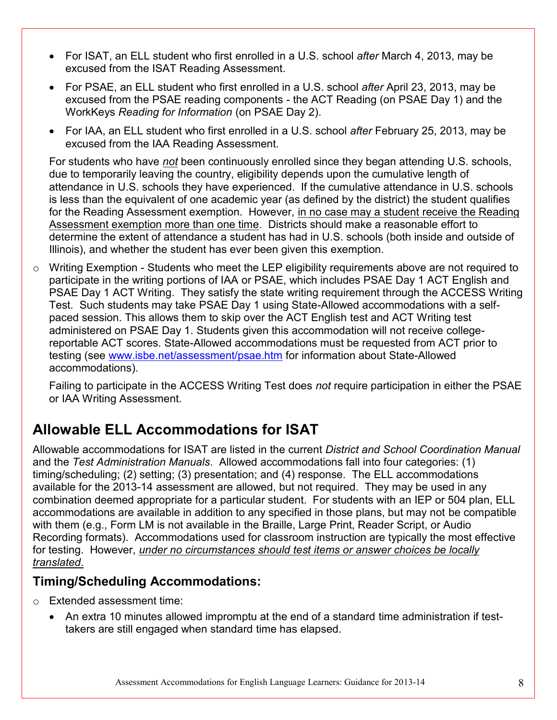- For ISAT, an ELL student who first enrolled in a U.S. school *after* March 4, 2013, may be excused from the ISAT Reading Assessment.
- For PSAE, an ELL student who first enrolled in a U.S. school *after* April 23, 2013, may be excused from the PSAE reading components - the ACT Reading (on PSAE Day 1) and the WorkKeys *Reading for Information* (on PSAE Day 2).
- For IAA, an ELL student who first enrolled in a U.S. school *after* February 25, 2013, may be excused from the IAA Reading Assessment.

For students who have *not* been continuously enrolled since they began attending U.S. schools, due to temporarily leaving the country, eligibility depends upon the cumulative length of attendance in U.S. schools they have experienced. If the cumulative attendance in U.S. schools is less than the equivalent of one academic year (as defined by the district) the student qualifies for the Reading Assessment exemption. However, in no case may a student receive the Reading Assessment exemption more than one time. Districts should make a reasonable effort to determine the extent of attendance a student has had in U.S. schools (both inside and outside of Illinois), and whether the student has ever been given this exemption.

o Writing Exemption - Students who meet the LEP eligibility requirements above are not required to participate in the writing portions of IAA or PSAE, which includes PSAE Day 1 ACT English and PSAE Day 1 ACT Writing. They satisfy the state writing requirement through the ACCESS Writing Test. Such students may take PSAE Day 1 using State-Allowed accommodations with a selfpaced session. This allows them to skip over the ACT English test and ACT Writing test administered on PSAE Day 1. Students given this accommodation will not receive collegereportable ACT scores. State-Allowed accommodations must be requested from ACT prior to testing (see [www.isbe.net/assessment/psae.htm](http://www.isbe.net/assessment/psae.htm) for information about State-Allowed accommodations).

Failing to participate in the ACCESS Writing Test does *not* require participation in either the PSAE or IAA Writing Assessment.

# <span id="page-7-1"></span>**Allowable ELL Accommodations for ISAT**

Allowable accommodations for ISAT are listed in the current *District and School Coordination Manual* and the *Test Administration Manuals*. Allowed accommodations fall into four categories: (1) timing/scheduling; (2) setting; (3) presentation; and (4) response. The ELL accommodations available for the 2013-14 assessment are allowed, but not required. They may be used in any combination deemed appropriate for a particular student. For students with an IEP or 504 plan, ELL accommodations are available in addition to any specified in those plans, but may not be compatible with them (e.g., Form LM is not available in the Braille, Large Print, Reader Script, or Audio Recording formats). Accommodations used for classroom instruction are typically the most effective for testing. However, *under no circumstances should test items or answer choices be locally translated*.

# <span id="page-7-0"></span>**Timing/Scheduling Accommodations:**

- o Extended assessment time:
	- An extra 10 minutes allowed impromptu at the end of a standard time administration if testtakers are still engaged when standard time has elapsed.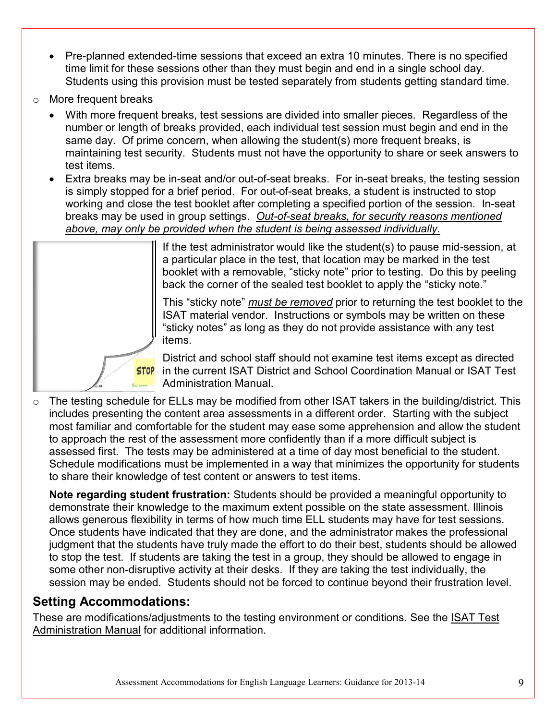- Pre-planned extended-time sessions that exceed an extra 10 minutes. There is no specified time limit for these sessions other than they must begin and end in a single school day. Students using this provision must be tested separately from students getting standard time.
- o More frequent breaks
	- With more frequent breaks, test sessions are divided into smaller pieces. Regardless of the number or length of breaks provided, each individual test session must begin and end in the same day. Of prime concern, when allowing the student(s) more frequent breaks, is maintaining test security. Students must not have the opportunity to share or seek answers to test items.
	- Extra breaks may be in-seat and/or out-of-seat breaks. For in-seat breaks, the testing session is simply stopped for a brief period. For out-of-seat breaks, a student is instructed to stop working and close the test booklet after completing a specified portion of the session. In-seat breaks may be used in group settings. *Out-of-seat breaks, for security reasons mentioned above, may only be provided when the student is being assessed individually.*



If the test administrator would like the student(s) to pause mid-session, at a particular place in the test, that location may be marked in the test booklet with a removable, "sticky note" prior to testing. Do this by peeling back the corner of the sealed test booklet to apply the "sticky note."

This "sticky note" *must be removed* prior to returning the test booklet to the ISAT material vendor. Instructions or symbols may be written on these "sticky notes" as long as they do not provide assistance with any test items.

District and school staff should not examine test items except as directed **STOP** in the current ISAT District and School Coordination Manual or ISAT Test Administration Manual.

o The testing schedule for ELLs may be modified from other ISAT takers in the building/district. This includes presenting the content area assessments in a different order. Starting with the subject most familiar and comfortable for the student may ease some apprehension and allow the student to approach the rest of the assessment more confidently than if a more difficult subject is assessed first. The tests may be administered at a time of day most beneficial to the student. Schedule modifications must be implemented in a way that minimizes the opportunity for students to share their knowledge of test content or answers to test items.

**Note regarding student frustration:** Students should be provided a meaningful opportunity to demonstrate their knowledge to the maximum extent possible on the state assessment. Illinois allows generous flexibility in terms of how much time ELL students may have for test sessions. Once students have indicated that they are done, and the administrator makes the professional judgment that the students have truly made the effort to do their best, students should be allowed to stop the test. If students are taking the test in a group, they should be allowed to engage in some other non-disruptive activity at their desks. If they are taking the test individually, the session may be ended. Students should not be forced to continue beyond their frustration level.

# <span id="page-8-0"></span>**Setting Accommodations:**

These are modifications/adjustments to the testing environment or conditions. See the ISAT Test Administration Manual for additional information.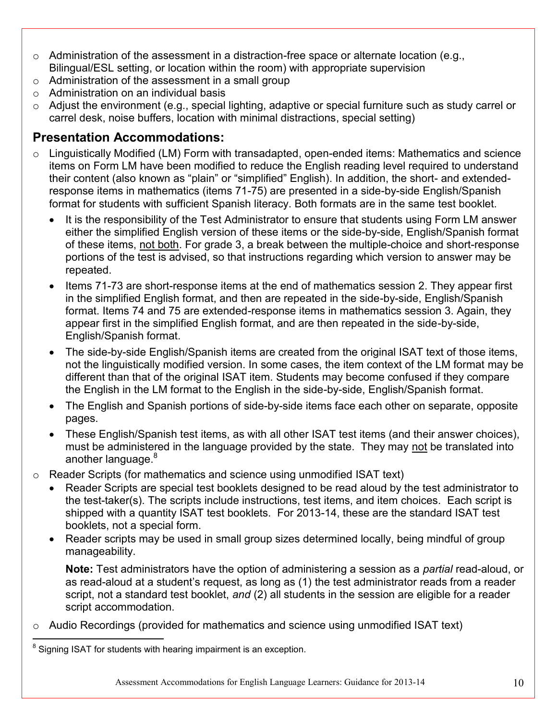- o Administration of the assessment in a distraction-free space or alternate location (e.g., Bilingual/ESL setting, or location within the room) with appropriate supervision
- o Administration of the assessment in a small group
- $\circ$  Administration on an individual basis
- o Adjust the environment (e.g., special lighting, adaptive or special furniture such as study carrel or carrel desk, noise buffers, location with minimal distractions, special setting)

# <span id="page-9-0"></span>**Presentation Accommodations:**

- o Linguistically Modified (LM) Form with transadapted, open-ended items: Mathematics and science items on Form LM have been modified to reduce the English reading level required to understand their content (also known as "plain" or "simplified" English). In addition, the short- and extendedresponse items in mathematics (items 71-75) are presented in a side-by-side English/Spanish format for students with sufficient Spanish literacy. Both formats are in the same test booklet.
	- It is the responsibility of the Test Administrator to ensure that students using Form LM answer either the simplified English version of these items or the side-by-side, English/Spanish format of these items, not both. For grade 3, a break between the multiple-choice and short-response portions of the test is advised, so that instructions regarding which version to answer may be repeated.
	- Items 71-73 are short-response items at the end of mathematics session 2. They appear first in the simplified English format, and then are repeated in the side-by-side, English/Spanish format. Items 74 and 75 are extended-response items in mathematics session 3. Again, they appear first in the simplified English format, and are then repeated in the side-by-side, English/Spanish format.
	- The side-by-side English/Spanish items are created from the original ISAT text of those items, not the linguistically modified version. In some cases, the item context of the LM format may be different than that of the original ISAT item. Students may become confused if they compare the English in the LM format to the English in the side-by-side, English/Spanish format.
	- The English and Spanish portions of side-by-side items face each other on separate, opposite pages.
	- These English/Spanish test items, as with all other ISAT test items (and their answer choices), must be administered in the language provided by the state. They may not be translated into another language.<sup>8</sup>
- o Reader Scripts (for mathematics and science using unmodified ISAT text)
	- Reader Scripts are special test booklets designed to be read aloud by the test administrator to the test-taker(s). The scripts include instructions, test items, and item choices. Each script is shipped with a quantity ISAT test booklets. For 2013-14, these are the standard ISAT test booklets, not a special form.
	- Reader scripts may be used in small group sizes determined locally, being mindful of group manageability.

**Note:** Test administrators have the option of administering a session as a *partial* read-aloud, or as read-aloud at a student's request, as long as (1) the test administrator reads from a reader script, not a standard test booklet, *and* (2) all students in the session are eligible for a reader script accommodation.

o Audio Recordings (provided for mathematics and science using unmodified ISAT text)

 $\overline{\phantom{a}}$  $8$  Signing ISAT for students with hearing impairment is an exception.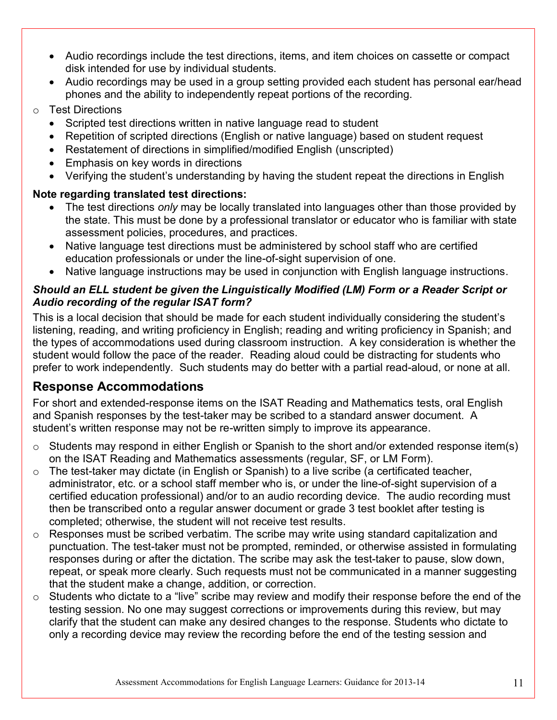- Audio recordings include the test directions, items, and item choices on cassette or compact disk intended for use by individual students.
- Audio recordings may be used in a group setting provided each student has personal ear/head phones and the ability to independently repeat portions of the recording.
- o Test Directions
	- Scripted test directions written in native language read to student
	- Repetition of scripted directions (English or native language) based on student request
	- Restatement of directions in simplified/modified English (unscripted)
	- Emphasis on key words in directions
	- Verifying the student's understanding by having the student repeat the directions in English

#### **Note regarding translated test directions:**

- The test directions *only* may be locally translated into languages other than those provided by the state. This must be done by a professional translator or educator who is familiar with state assessment policies, procedures, and practices.
- Native language test directions must be administered by school staff who are certified education professionals or under the line-of-sight supervision of one.
- Native language instructions may be used in conjunction with English language instructions.

#### <span id="page-10-0"></span>*Should an ELL student be given the Linguistically Modified (LM) Form or a Reader Script or Audio recording of the regular ISAT form?*

This is a local decision that should be made for each student individually considering the student's listening, reading, and writing proficiency in English; reading and writing proficiency in Spanish; and the types of accommodations used during classroom instruction. A key consideration is whether the student would follow the pace of the reader. Reading aloud could be distracting for students who prefer to work independently. Such students may do better with a partial read-aloud, or none at all.

# <span id="page-10-1"></span>**Response Accommodations**

For short and extended-response items on the ISAT Reading and Mathematics tests, oral English and Spanish responses by the test-taker may be scribed to a standard answer document. A student's written response may not be re-written simply to improve its appearance.

- o Students may respond in either English or Spanish to the short and/or extended response item(s) on the ISAT Reading and Mathematics assessments (regular, SF, or LM Form).
- $\circ$  The test-taker may dictate (in English or Spanish) to a live scribe (a certificated teacher, administrator, etc. or a school staff member who is, or under the line-of-sight supervision of a certified education professional) and/or to an audio recording device. The audio recording must then be transcribed onto a regular answer document or grade 3 test booklet after testing is completed; otherwise, the student will not receive test results.
- o Responses must be scribed verbatim. The scribe may write using standard capitalization and punctuation. The test-taker must not be prompted, reminded, or otherwise assisted in formulating responses during or after the dictation. The scribe may ask the test-taker to pause, slow down, repeat, or speak more clearly. Such requests must not be communicated in a manner suggesting that the student make a change, addition, or correction.
- $\circ$  Students who dictate to a "live" scribe may review and modify their response before the end of the testing session. No one may suggest corrections or improvements during this review, but may clarify that the student can make any desired changes to the response. Students who dictate to only a recording device may review the recording before the end of the testing session and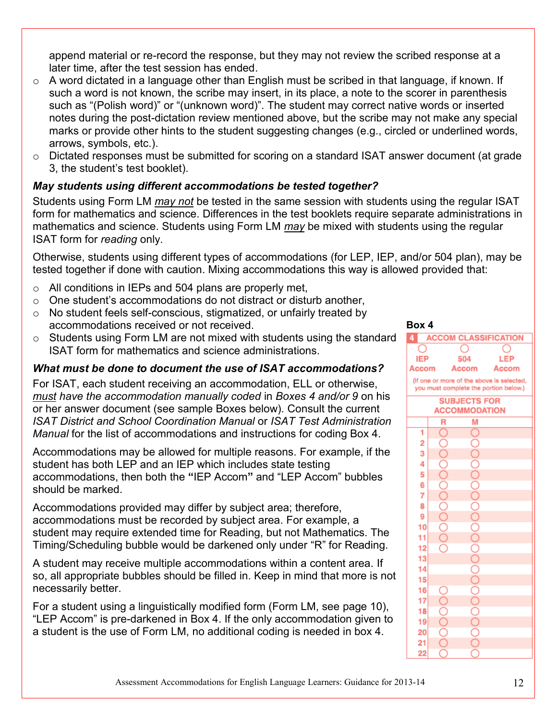append material or re-record the response, but they may not review the scribed response at a later time, after the test session has ended.

- $\circ$  A word dictated in a language other than English must be scribed in that language, if known. If such a word is not known, the scribe may insert, in its place, a note to the scorer in parenthesis such as "(Polish word)" or "(unknown word)". The student may correct native words or inserted notes during the post-dictation review mentioned above, but the scribe may not make any special marks or provide other hints to the student suggesting changes (e.g., circled or underlined words, arrows, symbols, etc.).
- o Dictated responses must be submitted for scoring on a standard ISAT answer document (at grade 3, the student's test booklet).

#### <span id="page-11-0"></span>*May students using different accommodations be tested together?*

Students using Form LM *may not* be tested in the same session with students using the regular ISAT form for mathematics and science. Differences in the test booklets require separate administrations in mathematics and science. Students using Form LM *may* be mixed with students using the regular ISAT form for *reading* only.

Otherwise, students using different types of accommodations (for LEP, IEP, and/or 504 plan), may be tested together if done with caution. Mixing accommodations this way is allowed provided that:

- o All conditions in IEPs and 504 plans are properly met,
- o One student's accommodations do not distract or disturb another,
- o No student feels self-conscious, stigmatized, or unfairly treated by accommodations received or not received.
- o Students using Form LM are not mixed with students using the standard ISAT form for mathematics and science administrations.

#### <span id="page-11-1"></span>*What must be done to document the use of ISAT accommodations?*

For ISAT, each student receiving an accommodation, ELL or otherwise, *must have the accommodation manually coded* in *Boxes 4 and/or 9* on his or her answer document (see sample Boxes below). Consult the current *ISAT District and School Coordination Manual* or *ISAT Test Administration Manual* for the list of accommodations and instructions for coding Box 4.

Accommodations may be allowed for multiple reasons. For example, if the student has both LEP and an IEP which includes state testing accommodations, then both the **"**IEP Accom**"** and "LEP Accom" bubbles should be marked.

Accommodations provided may differ by subject area; therefore, accommodations must be recorded by subject area. For example, a student may require extended time for Reading, but not Mathematics. The Timing/Scheduling bubble would be darkened only under "R" for Reading.

A student may receive multiple accommodations within a content area. If so, all appropriate bubbles should be filled in. Keep in mind that more is not necessarily better.

For a student using a linguistically modified form (Form LM, see page 10), "LEP Accom" is pre-darkened in Box 4. If the only accommodation given to a student is the use of Form LM, no additional coding is needed in box 4.

**Box 4**

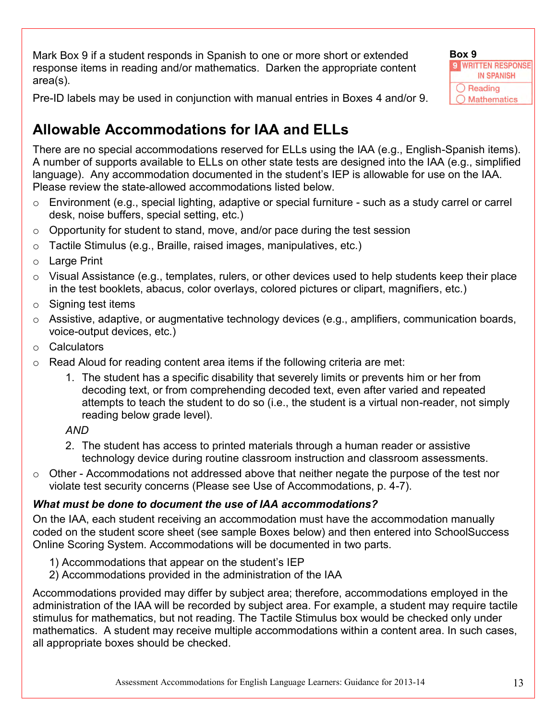Mark Box 9 if a student responds in Spanish to one or more short or extended response items in reading and/or mathematics. Darken the appropriate content area(s).



Pre-ID labels may be used in conjunction with manual entries in Boxes 4 and/or 9.

# <span id="page-12-1"></span>**Allowable Accommodations for IAA and ELLs**

There are no special accommodations reserved for ELLs using the IAA (e.g., English-Spanish items). A number of supports available to ELLs on other state tests are designed into the IAA (e.g., simplified language). Any accommodation documented in the student's IEP is allowable for use on the IAA. Please review the state-allowed accommodations listed below.

- $\circ$  Environment (e.g., special lighting, adaptive or special furniture such as a study carrel or carrel desk, noise buffers, special setting, etc.)
- $\circ$  Opportunity for student to stand, move, and/or pace during the test session
- o Tactile Stimulus (e.g., Braille, raised images, manipulatives, etc.)
- o Large Print
- $\circ$  Visual Assistance (e.g., templates, rulers, or other devices used to help students keep their place in the test booklets, abacus, color overlays, colored pictures or clipart, magnifiers, etc.)
- $\circ$  Signing test items
- o Assistive, adaptive, or augmentative technology devices (e.g., amplifiers, communication boards, voice-output devices, etc.)
- o Calculators
- $\circ$  Read Aloud for reading content area items if the following criteria are met:
	- 1. The student has a specific disability that severely limits or prevents him or her from decoding text, or from comprehending decoded text, even after varied and repeated attempts to teach the student to do so (i.e., the student is a virtual non-reader, not simply reading below grade level).

### *AND*

- 2. The student has access to printed materials through a human reader or assistive technology device during routine classroom instruction and classroom assessments.
- o Other Accommodations not addressed above that neither negate the purpose of the test nor violate test security concerns (Please see Use of Accommodations, p. 4-7).

### <span id="page-12-0"></span>*What must be done to document the use of IAA accommodations?*

On the IAA, each student receiving an accommodation must have the accommodation manually coded on the student score sheet (see sample Boxes below) and then entered into SchoolSuccess Online Scoring System. Accommodations will be documented in two parts.

- 1) Accommodations that appear on the student's IEP
- 2) Accommodations provided in the administration of the IAA

Accommodations provided may differ by subject area; therefore, accommodations employed in the administration of the IAA will be recorded by subject area. For example, a student may require tactile stimulus for mathematics, but not reading. The Tactile Stimulus box would be checked only under mathematics. A student may receive multiple accommodations within a content area. In such cases, all appropriate boxes should be checked.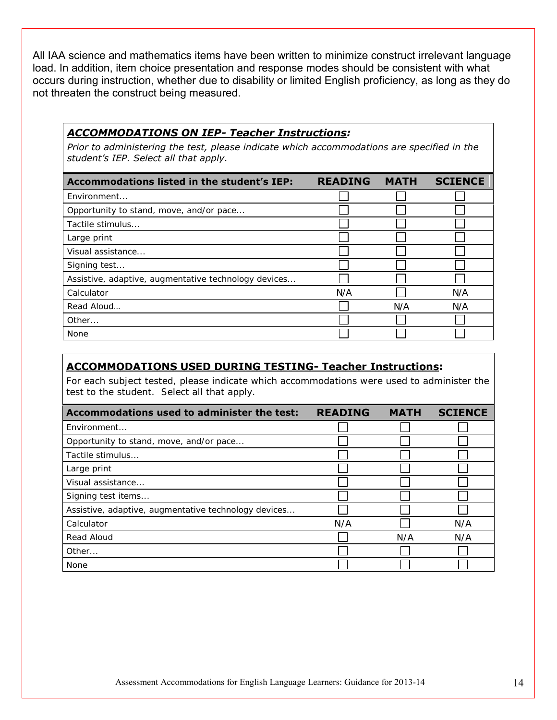All IAA science and mathematics items have been written to minimize construct irrelevant language load. In addition, item choice presentation and response modes should be consistent with what occurs during instruction, whether due to disability or limited English proficiency, as long as they do not threaten the construct being measured.

#### *ACCOMMODATIONS ON IEP- Teacher Instructions:*

*Prior to administering the test, please indicate which accommodations are specified in the student's IEP. Select all that apply.*

| Accommodations listed in the student's IEP:          | <b>READING</b> | <b>MATH</b> | <b>SCIENCE</b> |
|------------------------------------------------------|----------------|-------------|----------------|
| Environment                                          |                |             |                |
| Opportunity to stand, move, and/or pace              |                |             |                |
| Tactile stimulus                                     |                |             |                |
| Large print                                          |                |             |                |
| Visual assistance                                    |                |             |                |
| Signing test                                         |                |             |                |
| Assistive, adaptive, augmentative technology devices |                |             |                |
| Calculator                                           | N/A            |             | N/A            |
| Read Aloud                                           |                | N/A         | N/A            |
| Other                                                |                |             |                |
| None                                                 |                |             |                |

#### **ACCOMMODATIONS USED DURING TESTING- Teacher Instructions:**

For each subject tested, please indicate which accommodations were used to administer the test to the student. Select all that apply.

| Accommodations used to administer the test:          | <b>READING</b> | <b>MATH</b> | <b>SCIENCE</b> |
|------------------------------------------------------|----------------|-------------|----------------|
| Fnvironment                                          |                |             |                |
| Opportunity to stand, move, and/or pace              |                |             |                |
| Tactile stimulus                                     |                |             |                |
| Large print                                          |                |             |                |
| Visual assistance                                    |                |             |                |
| Signing test items                                   |                |             |                |
| Assistive, adaptive, augmentative technology devices |                |             |                |
| Calculator                                           | N/A            |             | N/A            |
| Read Aloud                                           |                | N/A         | N/A            |
| Other                                                |                |             |                |
| None                                                 |                |             |                |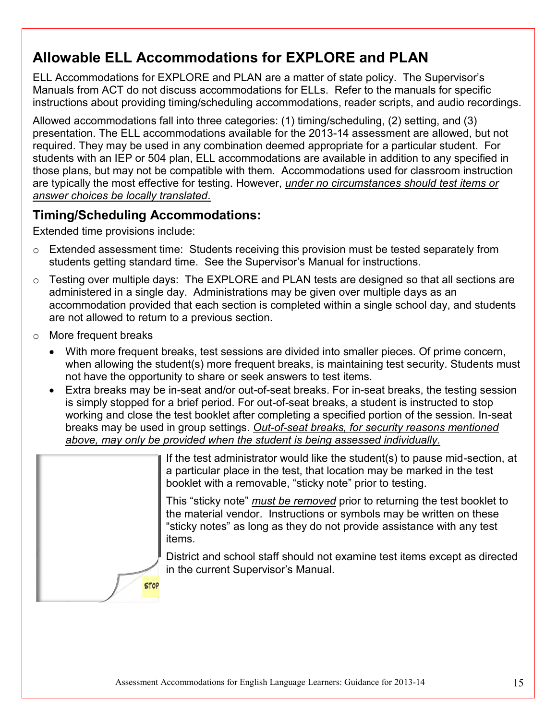# <span id="page-14-1"></span>**Allowable ELL Accommodations for EXPLORE and PLAN**

ELL Accommodations for EXPLORE and PLAN are a matter of state policy. The Supervisor's Manuals from ACT do not discuss accommodations for ELLs. Refer to the manuals for specific instructions about providing timing/scheduling accommodations, reader scripts, and audio recordings.

Allowed accommodations fall into three categories: (1) timing/scheduling, (2) setting, and (3) presentation. The ELL accommodations available for the 2013-14 assessment are allowed, but not required. They may be used in any combination deemed appropriate for a particular student. For students with an IEP or 504 plan, ELL accommodations are available in addition to any specified in those plans, but may not be compatible with them. Accommodations used for classroom instruction are typically the most effective for testing. However, *under no circumstances should test items or answer choices be locally translated*.

# <span id="page-14-0"></span>**Timing/Scheduling Accommodations:**

Extended time provisions include:

- o Extended assessment time: Students receiving this provision must be tested separately from students getting standard time. See the Supervisor's Manual for instructions.
- o Testing over multiple days: The EXPLORE and PLAN tests are designed so that all sections are administered in a single day. Administrations may be given over multiple days as an accommodation provided that each section is completed within a single school day, and students are not allowed to return to a previous section.
- o More frequent breaks
	- With more frequent breaks, test sessions are divided into smaller pieces. Of prime concern, when allowing the student(s) more frequent breaks, is maintaining test security. Students must not have the opportunity to share or seek answers to test items.
	- Extra breaks may be in-seat and/or out-of-seat breaks. For in-seat breaks, the testing session is simply stopped for a brief period. For out-of-seat breaks, a student is instructed to stop working and close the test booklet after completing a specified portion of the session. In-seat breaks may be used in group settings. *Out-of-seat breaks, for security reasons mentioned above, may only be provided when the student is being assessed individually.*

|             | If the test administrator would like the student(s) to pause mid-section, at<br>a particular place in the test, that location may be marked in the test<br>booklet with a removable, "sticky note" prior to testing.                  |
|-------------|---------------------------------------------------------------------------------------------------------------------------------------------------------------------------------------------------------------------------------------|
|             | This "sticky note" must be removed prior to returning the test booklet to<br>the material vendor. Instructions or symbols may be written on these<br>"sticky notes" as long as they do not provide assistance with any test<br>items. |
| <b>STOP</b> | District and school staff should not examine test items except as directed<br>in the current Supervisor's Manual.                                                                                                                     |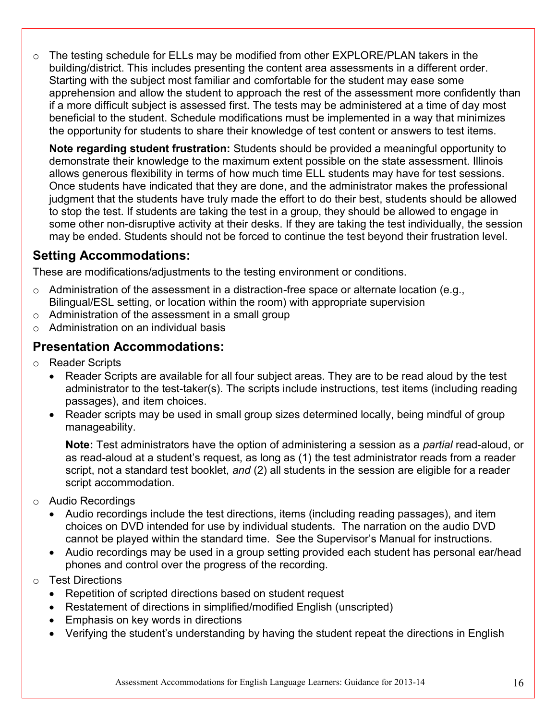o The testing schedule for ELLs may be modified from other EXPLORE/PLAN takers in the building/district. This includes presenting the content area assessments in a different order. Starting with the subject most familiar and comfortable for the student may ease some apprehension and allow the student to approach the rest of the assessment more confidently than if a more difficult subject is assessed first. The tests may be administered at a time of day most beneficial to the student. Schedule modifications must be implemented in a way that minimizes the opportunity for students to share their knowledge of test content or answers to test items.

**Note regarding student frustration:** Students should be provided a meaningful opportunity to demonstrate their knowledge to the maximum extent possible on the state assessment. Illinois allows generous flexibility in terms of how much time ELL students may have for test sessions. Once students have indicated that they are done, and the administrator makes the professional judgment that the students have truly made the effort to do their best, students should be allowed to stop the test. If students are taking the test in a group, they should be allowed to engage in some other non-disruptive activity at their desks. If they are taking the test individually, the session may be ended. Students should not be forced to continue the test beyond their frustration level.

# <span id="page-15-0"></span>**Setting Accommodations:**

These are modifications/adjustments to the testing environment or conditions.

- o Administration of the assessment in a distraction-free space or alternate location (e.g., Bilingual/ESL setting, or location within the room) with appropriate supervision
- o Administration of the assessment in a small group
- $\circ$  Administration on an individual basis

### <span id="page-15-1"></span>**Presentation Accommodations:**

- o Reader Scripts
	- Reader Scripts are available for all four subject areas. They are to be read aloud by the test administrator to the test-taker(s). The scripts include instructions, test items (including reading passages), and item choices.
	- Reader scripts may be used in small group sizes determined locally, being mindful of group manageability.

**Note:** Test administrators have the option of administering a session as a *partial* read-aloud, or as read-aloud at a student's request, as long as (1) the test administrator reads from a reader script, not a standard test booklet, *and* (2) all students in the session are eligible for a reader script accommodation.

- o Audio Recordings
	- Audio recordings include the test directions, items (including reading passages), and item choices on DVD intended for use by individual students. The narration on the audio DVD cannot be played within the standard time. See the Supervisor's Manual for instructions.
	- Audio recordings may be used in a group setting provided each student has personal ear/head phones and control over the progress of the recording.
- o Test Directions
	- Repetition of scripted directions based on student request
	- Restatement of directions in simplified/modified English (unscripted)
	- Emphasis on key words in directions
	- Verifying the student's understanding by having the student repeat the directions in English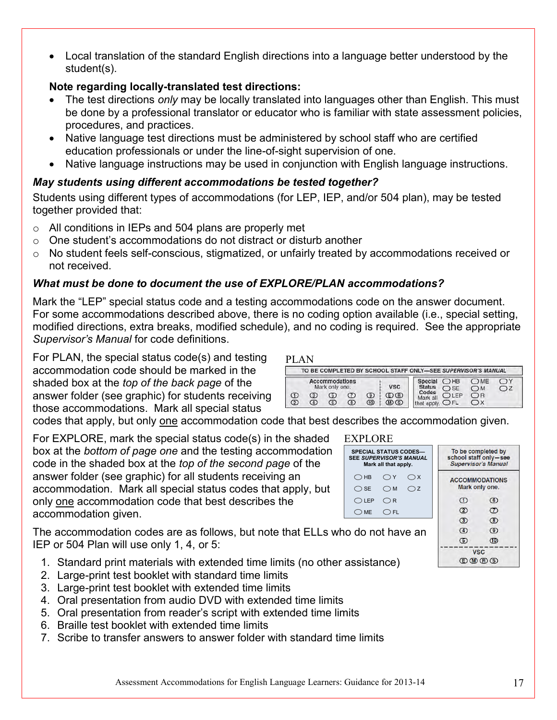Local translation of the standard English directions into a language better understood by the student(s).

#### **Note regarding locally-translated test directions:**

- The test directions *only* may be locally translated into languages other than English. This must be done by a professional translator or educator who is familiar with state assessment policies, procedures, and practices.
- Native language test directions must be administered by school staff who are certified education professionals or under the line-of-sight supervision of one.
- Native language instructions may be used in conjunction with English language instructions.

### <span id="page-16-0"></span>*May students using different accommodations be tested together?*

Students using different types of accommodations (for LEP, IEP, and/or 504 plan), may be tested together provided that:

- o All conditions in IEPs and 504 plans are properly met
- o One student's accommodations do not distract or disturb another
- o No student feels self-conscious, stigmatized, or unfairly treated by accommodations received or not received.

### <span id="page-16-1"></span>*What must be done to document the use of EXPLORE/PLAN accommodations?*

Mark the "LEP" special status code and a testing accommodations code on the answer document. For some accommodations described above, there is no coding option available (i.e., special setting, modified directions, extra breaks, modified schedule), and no coding is required. See the appropriate *Supervisor's Manual* for code definitions.

PLAN

For PLAN, the special status code(s) and testing accommodation code should be marked in the shaded box at the *top of the back page* of the answer folder (see graphic) for students receiving those accommodations. Mark all special status

|     |            |                                  |              |                  |                   | TO BE COMPLETED BY SCHOOL STAFF ONLY-SEE SUPERVISOR'S MANUAL |                      |                    |                   |
|-----|------------|----------------------------------|--------------|------------------|-------------------|--------------------------------------------------------------|----------------------|--------------------|-------------------|
|     |            | Accommodations<br>Mark only one. |              |                  | <b>VSC</b>        | Special<br><b>Status</b>                                     | OHB<br>$\bigcirc$ SE | OME<br>$\bigcap M$ | OY<br>$\bigcap$ Z |
| (2) | (3)<br>(4) | ග<br>ര                           | 7<br>$\circ$ | (9)<br><b>GD</b> | ⊕®<br>$(D \odot)$ | Codes<br>Mark all<br>that apply.                             | $D$ IFP<br>OFL       | OB                 |                   |

codes that apply, but only one accommodation code that best describes the accommodation given.

For EXPLORE, mark the special status code(s) in the shaded box at the *bottom of page one* and the testing accommodation code in the shaded box at the *top of the second page* of the answer folder (see graphic) for all students receiving an accommodation. Mark all special status codes that apply, but only one accommodation code that best describes the accommodation given.

The accommodation codes are as follows, but note that ELLs who do not IEP or 504 Plan will use only 1, 4, or 5:

- 1. Standard print materials with extended time limits (no other assistance)
- 2. Large-print test booklet with standard time limits
- 3. Large-print test booklet with extended time limits
- 4. Oral presentation from audio DVD with extended time limits
- 5. Oral presentation from reader's script with extended time limits
- 6. Braille test booklet with extended time limits
- 7. Scribe to transfer answers to answer folder with standard time limits

#### SPECIAL EXPLORE

**SEE SUPE Mark**  $\bigcirc$  HB  $\bigcirc$  SE  $\bigcirc$  LEP  $\bigcirc$  ME

| <b>STATUS CODES-</b><br><b>RVISOR'S MANUAL</b><br>all that apply. | To be completed by<br>school staff only-see<br><b>Supervisor's Manual</b> |              |  |
|-------------------------------------------------------------------|---------------------------------------------------------------------------|--------------|--|
| $\bigcap Y$<br>$\bigcirc$ X                                       | <b>ACCOMMODATIONS</b><br>Mark only one.                                   |              |  |
| ∩z<br>$\bigcirc$ M                                                |                                                                           |              |  |
| $\bigcirc$ R                                                      | −                                                                         | $^\circledR$ |  |
| $\bigcirc$ FL                                                     | (2)                                                                       | Z)           |  |
|                                                                   | $^\circledR$                                                              | $^{\circ}$   |  |
| ot have an                                                        | $\circledA$                                                               | ၜ            |  |
|                                                                   | (5)                                                                       | 10           |  |
|                                                                   |                                                                           | /SC          |  |

**DODD**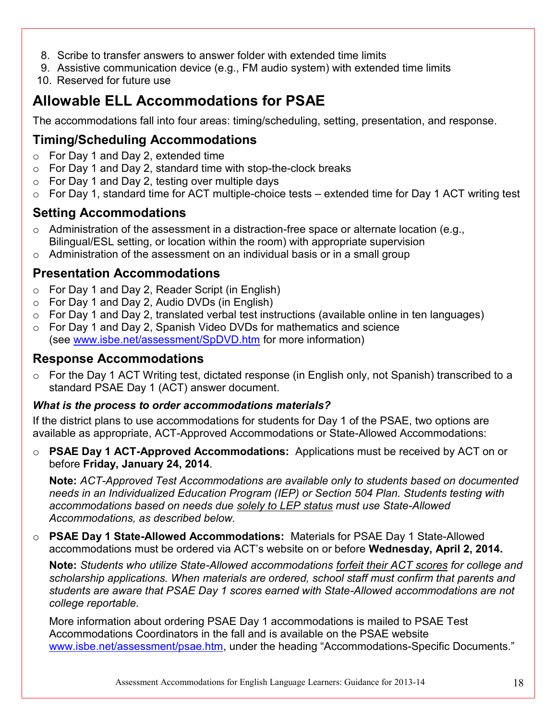- 8. Scribe to transfer answers to answer folder with extended time limits
- 9. Assistive communication device (e.g., FM audio system) with extended time limits
- 10. Reserved for future use

# <span id="page-17-2"></span>**Allowable ELL Accommodations for PSAE**

The accommodations fall into four areas: timing/scheduling, setting, presentation, and response.

# <span id="page-17-0"></span>**Timing/Scheduling Accommodations**

- o For Day 1 and Day 2, extended time
- $\circ$  For Day 1 and Day 2, standard time with stop-the-clock breaks
- $\circ$  For Day 1 and Day 2, testing over multiple days
- o For Day 1, standard time for ACT multiple-choice tests extended time for Day 1 ACT writing test

### <span id="page-17-1"></span>**Setting Accommodations**

- $\circ$  Administration of the assessment in a distraction-free space or alternate location (e.g., Bilingual/ESL setting, or location within the room) with appropriate supervision
- $\circ$  Administration of the assessment on an individual basis or in a small group

### <span id="page-17-3"></span>**Presentation Accommodations**

- o For Day 1 and Day 2, Reader Script (in English)
- o For Day 1 and Day 2, Audio DVDs (in English)
- o For Day 1 and Day 2, translated verbal test instructions (available online in ten languages)
- o For Day 1 and Day 2, Spanish Video DVDs for mathematics and science (see [www.isbe.net/assessment/SpDVD.htm](http://www.isbe.net/assessment/SpDVD.htm) for more information)

#### <span id="page-17-4"></span>**Response Accommodations**

o For the Day 1 ACT Writing test, dictated response (in English only, not Spanish) transcribed to a standard PSAE Day 1 (ACT) answer document.

#### <span id="page-17-5"></span>*What is the process to order accommodations materials?*

If the district plans to use accommodations for students for Day 1 of the PSAE, two options are available as appropriate, ACT-Approved Accommodations or State-Allowed Accommodations:

o **PSAE Day 1 ACT-Approved Accommodations:** Applications must be received by ACT on or before **Friday, January 24, 2014**.

**Note:** *ACT-Approved Test Accommodations are available only to students based on documented needs in an Individualized Education Program (IEP) or Section 504 Plan. Students testing with accommodations based on needs due solely to LEP status must use State-Allowed Accommodations, as described below.*

o **PSAE Day 1 State-Allowed Accommodations:** Materials for PSAE Day 1 State-Allowed accommodations must be ordered via ACT's website on or before **Wednesday, April 2, 2014.** 

**Note:** *Students who utilize State-Allowed accommodations forfeit their ACT scores for college and scholarship applications. When materials are ordered, school staff must confirm that parents and students are aware that PSAE Day 1 scores earned with State-Allowed accommodations are not college reportable.*

More information about ordering PSAE Day 1 accommodations is mailed to PSAE Test Accommodations Coordinators in the fall and is available on the PSAE website [www.isbe.net/assessment/psae.htm,](http://www.isbe.net/assessment/psae.htm) under the heading "Accommodations-Specific Documents."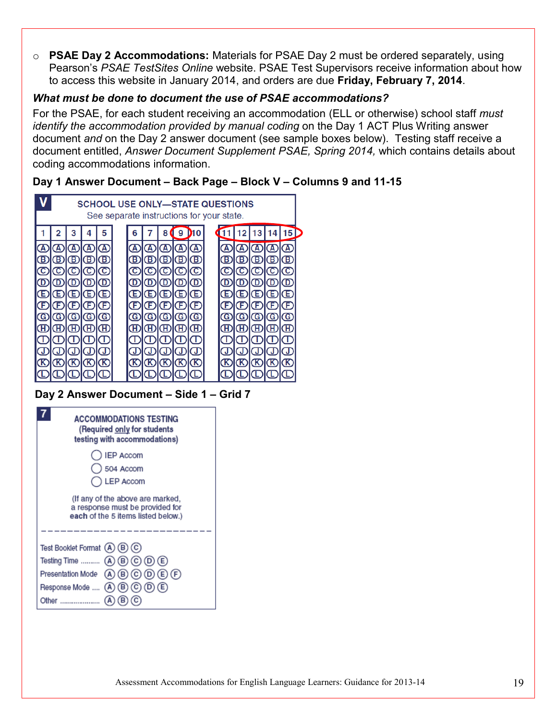o **PSAE Day 2 Accommodations:** Materials for PSAE Day 2 must be ordered separately, using Pearson's *PSAE TestSites Online* website. PSAE Test Supervisors receive information about how to access this website in January 2014, and orders are due **Friday, February 7, 2014**.

#### <span id="page-18-0"></span>*What must be done to document the use of PSAE accommodations?*

For the PSAE, for each student receiving an accommodation (ELL or otherwise) school staff *must identify the accommodation provided by manual coding* on the Day 1 ACT Plus Writing answer document *and* on the Day 2 answer document (see sample boxes below). Testing staff receive a document entitled, *Answer Document Supplement PSAE, Spring 2014,* which contains details about coding accommodations information.

#### **Day 1 Answer Document – Back Page – Block V – Columns 9 and 11-15**



### **Day 2 Answer Document – Side 1 – Grid 7**

<span id="page-18-1"></span>

| ACCOMMODATIONS TESTING<br>(Required only for students<br>testing with accommodations)                                                                                           |
|---------------------------------------------------------------------------------------------------------------------------------------------------------------------------------|
| <b>IEP Accom</b><br>504 Accom<br>LEP Accom                                                                                                                                      |
| (If any of the above are marked,<br>a response must be provided for<br>each of the 5 items listed below.)                                                                       |
| Test Booklet Format (A) (B) (C)<br>Testing Time  (A) (B) (C) (D) (E)<br>$(A)$ $(B)$ $(C)$ $(D)$ $(E)$ $(F)$<br>Presentation Mode<br>Response Mode  (A) (B) (C) (D) (E)<br>Other |